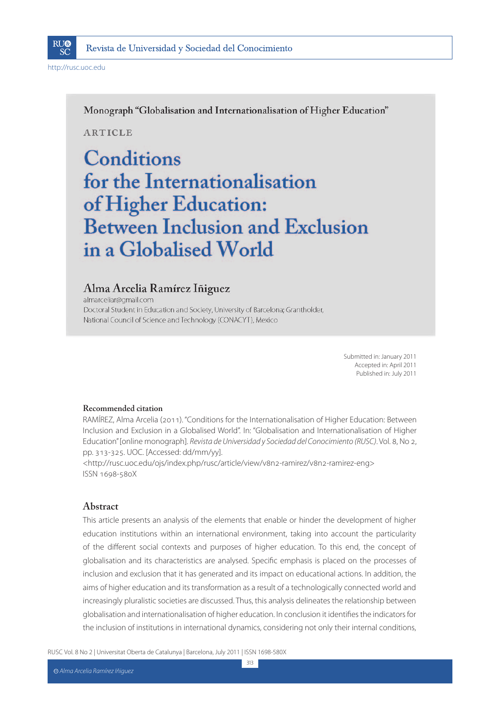

Monograph "Globalisation and Internationalisation of Higher Education"

**ARTICLE** 

# Conditions for the Internationalisation of Higher Education: **Between Inclusion and Exclusion** in a Globalised World

### Alma Arcelia Ramírez Iñiguez

almarceliar@gmail.com Doctoral Student in Education and Society, University of Barcelona; Grantholder, National Council of Science and Technology (CONACYT), Mexico

> Submitted in: January 2011 Accepted in: April 2011 Published in: July 2011

### **Recommended citation**

RAMÍREZ, Alma Arcelia (2011). "Conditions for the Internationalisation of Higher Education: Between Inclusion and Exclusion in a Globalised World". In: "Globalisation and Internationalisation of Higher Education" [online monograph]. Revista de Universidad y Sociedad del Conocimiento (RUSC). Vol. 8, No 2, pp. 313-325. UOC. [Accessed: dd/mm/yy].

<http://rusc.uoc.edu/ojs/index.php/rusc/article/view/v8n2-ramirez/v8n2-ramirez-eng> ISSN 1698-580X

### **Abstract**

This article presents an analysis of the elements that enable or hinder the development of higher education institutions within an international environment, taking into account the particularity of the different social contexts and purposes of higher education. To this end, the concept of globalisation and its characteristics are analysed. Specific emphasis is placed on the processes of inclusion and exclusion that it has generated and its impact on educational actions. In addition, the aims of higher education and its transformation as a result of a technologically connected world and increasingly pluralistic societies are discussed. Thus, this analysis delineates the relationship between globalisation and internationalisation of higher education. In conclusion it identifies the indicators for the inclusion of institutions in international dynamics, considering not only their internal conditions,

RUSC Vol. 8 No 2 | Universitat Oberta de Catalunya | Barcelona, July 2011 | ISSN 1698-580X

313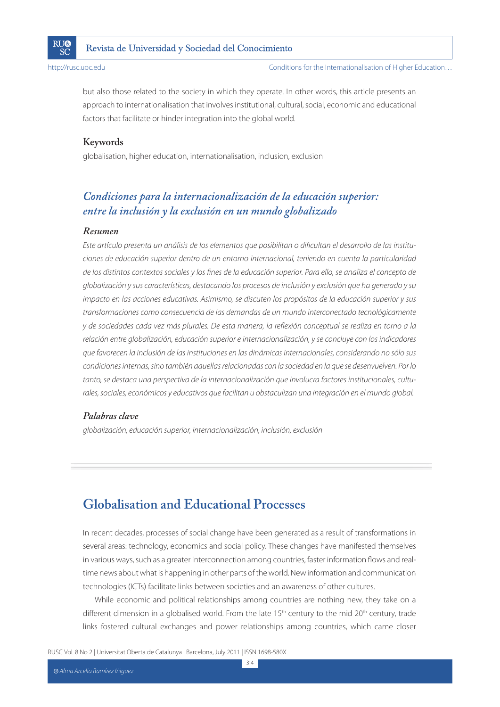

Conditions for the Internationalisation of Higher Education…

but also those related to the society in which they operate. In other words, this article presents an approach to internationalisation that involves institutional, cultural, social, economic and educational factors that facilitate or hinder integration into the global world.

### **Keywords**

globalisation, higher education, internationalisation, inclusion, exclusion

# *Condiciones para la internacionalización de la educación superior: entre la inclusión y la exclusión en un mundo globalizado*

### *Resumen*

Este artículo presenta un análisis de los elementos que posibilitan o dificultan el desarrollo de las instituciones de educación superior dentro de un entorno internacional, teniendo en cuenta la particularidad de los distintos contextos sociales y los fines de la educación superior. Para ello, se analiza el concepto de globalización y sus características, destacando los procesos de inclusión y exclusión que ha generado y su impacto en las acciones educativas. Asimismo, se discuten los propósitos de la educación superior y sus transformaciones como consecuencia de las demandas de un mundo interconectado tecnológicamente y de sociedades cada vez más plurales. De esta manera, la reflexión conceptual se realiza en torno a la relación entre globalización, educación superior e internacionalización, y se concluye con los indicadores que favorecen la inclusión de las instituciones en las dinámicas internacionales, considerando no sólo sus condiciones internas, sino también aquellas relacionadas con la sociedad en la que se desenvuelven. Por lo tanto, se destaca una perspectiva de la internacionalización que involucra factores institucionales, culturales, sociales, económicos y educativos que facilitan u obstaculizan una integración en el mundo global.

### *Palabras clave*

globalización, educación superior, internacionalización, inclusión, exclusión

# **Globalisation and Educational Processes**

In recent decades, processes of social change have been generated as a result of transformations in several areas: technology, economics and social policy. These changes have manifested themselves in various ways, such as a greater interconnection among countries, faster information flows and realtime news about what is happening in other parts of the world. New information and communication technologies (ICTs) facilitate links between societies and an awareness of other cultures.

While economic and political relationships among countries are nothing new, they take on a different dimension in a globalised world. From the late  $15<sup>th</sup>$  century to the mid  $20<sup>th</sup>$  century, trade links fostered cultural exchanges and power relationships among countries, which came closer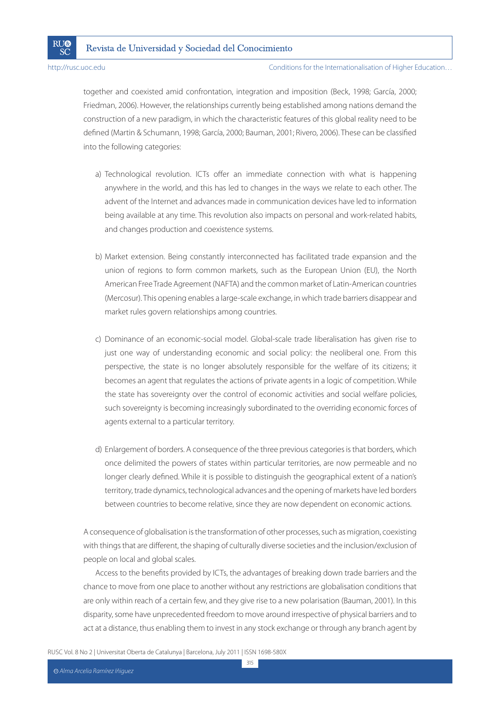#### Conditions for the Internationalisation of Higher Education…

together and coexisted amid confrontation, integration and imposition (Beck, 1998; García, 2000; Friedman, 2006). However, the relationships currently being established among nations demand the construction of a new paradigm, in which the characteristic features of this global reality need to be defined (Martin & Schumann, 1998; García, 2000; Bauman, 2001; Rivero, 2006). These can be classified into the following categories:

- a) Technological revolution. ICTs offer an immediate connection with what is happening anywhere in the world, and this has led to changes in the ways we relate to each other. The advent of the Internet and advances made in communication devices have led to information being available at any time. This revolution also impacts on personal and work-related habits, and changes production and coexistence systems.
- b) Market extension. Being constantly interconnected has facilitated trade expansion and the union of regions to form common markets, such as the European Union (EU), the North American Free Trade Agreement (NAFTA) and the common market of Latin-American countries (Mercosur). This opening enables a large-scale exchange, in which trade barriers disappear and market rules govern relationships among countries.
- c) Dominance of an economic-social model. Global-scale trade liberalisation has given rise to just one way of understanding economic and social policy: the neoliberal one. From this perspective, the state is no longer absolutely responsible for the welfare of its citizens; it becomes an agent that regulates the actions of private agents in a logic of competition. While the state has sovereignty over the control of economic activities and social welfare policies, such sovereignty is becoming increasingly subordinated to the overriding economic forces of agents external to a particular territory.
- d) Enlargement of borders. A consequence of the three previous categories is that borders, which once delimited the powers of states within particular territories, are now permeable and no longer clearly defined. While it is possible to distinguish the geographical extent of a nation's territory, trade dynamics, technological advances and the opening of markets have led borders between countries to become relative, since they are now dependent on economic actions.

A consequence of globalisation is the transformation of other processes, such as migration, coexisting with things that are different, the shaping of culturally diverse societies and the inclusion/exclusion of people on local and global scales.

Access to the benefits provided by ICTs, the advantages of breaking down trade barriers and the chance to move from one place to another without any restrictions are globalisation conditions that are only within reach of a certain few, and they give rise to a new polarisation (Bauman, 2001). In this disparity, some have unprecedented freedom to move around irrespective of physical barriers and to act at a distance, thus enabling them to invest in any stock exchange or through any branch agent by

RUSC Vol. 8 No 2 | Universitat Oberta de Catalunya | Barcelona, July 2011 | ISSN 1698-580X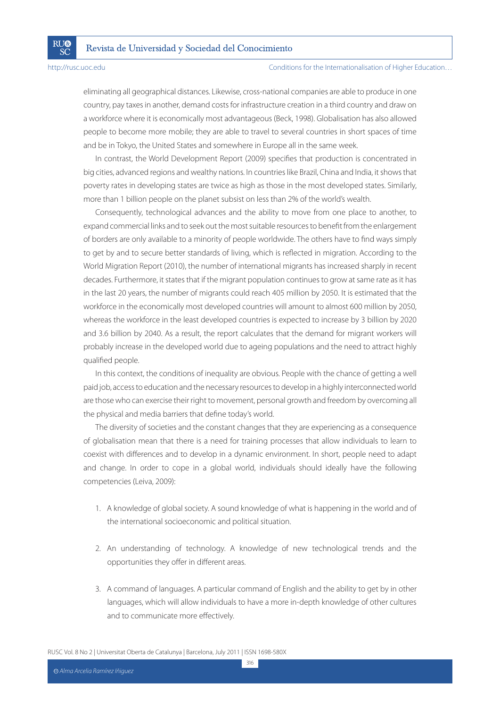**RU®** 

SČ

#### Conditions for the Internationalisation of Higher Education…

eliminating all geographical distances. Likewise, cross-national companies are able to produce in one country, pay taxes in another, demand costs for infrastructure creation in a third country and draw on a workforce where it is economically most advantageous (Beck, 1998). Globalisation has also allowed people to become more mobile; they are able to travel to several countries in short spaces of time and be in Tokyo, the United States and somewhere in Europe all in the same week.

In contrast, the World Development Report (2009) specifies that production is concentrated in big cities, advanced regions and wealthy nations. In countries like Brazil, China and India, it shows that poverty rates in developing states are twice as high as those in the most developed states. Similarly, more than 1 billion people on the planet subsist on less than 2% of the world's wealth.

Consequently, technological advances and the ability to move from one place to another, to expand commercial links and to seek out the most suitable resources to benefit from the enlargement of borders are only available to a minority of people worldwide. The others have to find ways simply to get by and to secure better standards of living, which is reflected in migration. According to the World Migration Report (2010), the number of international migrants has increased sharply in recent decades. Furthermore, it states that if the migrant population continues to grow at same rate as it has in the last 20 years, the number of migrants could reach 405 million by 2050. It is estimated that the workforce in the economically most developed countries will amount to almost 600 million by 2050, whereas the workforce in the least developed countries is expected to increase by 3 billion by 2020 and 3.6 billion by 2040. As a result, the report calculates that the demand for migrant workers will probably increase in the developed world due to ageing populations and the need to attract highly qualified people.

In this context, the conditions of inequality are obvious. People with the chance of getting a well paid job, access to education and the necessary resources to develop in a highly interconnected world are those who can exercise their right to movement, personal growth and freedom by overcoming all the physical and media barriers that define today's world.

The diversity of societies and the constant changes that they are experiencing as a consequence of globalisation mean that there is a need for training processes that allow individuals to learn to coexist with differences and to develop in a dynamic environment. In short, people need to adapt and change. In order to cope in a global world, individuals should ideally have the following competencies (Leiva, 2009):

- 1. A knowledge of global society. A sound knowledge of what is happening in the world and of the international socioeconomic and political situation.
- 2. An understanding of technology. A knowledge of new technological trends and the opportunities they offer in different areas.
- 3. A command of languages. A particular command of English and the ability to get by in other languages, which will allow individuals to have a more in-depth knowledge of other cultures and to communicate more effectively.

RUSC Vol. 8 No 2 | Universitat Oberta de Catalunya | Barcelona, July 2011 | ISSN 1698-580X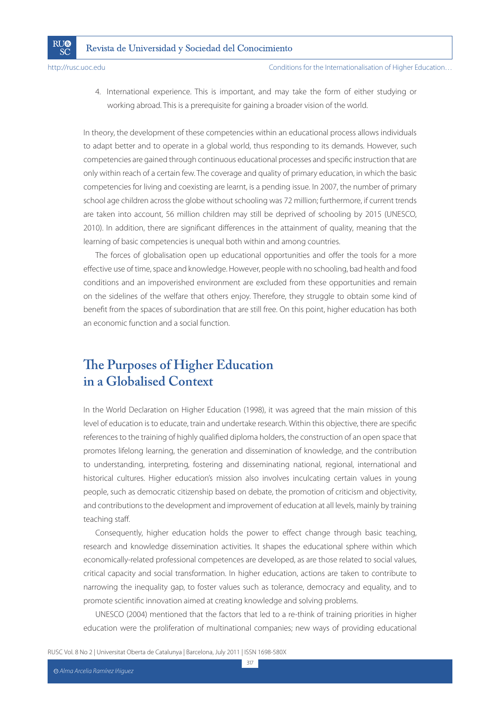**RU®** 

SČ

4. International experience. This is important, and may take the form of either studying or working abroad. This is a prerequisite for gaining a broader vision of the world.

In theory, the development of these competencies within an educational process allows individuals to adapt better and to operate in a global world, thus responding to its demands. However, such competencies are gained through continuous educational processes and specific instruction that are only within reach of a certain few. The coverage and quality of primary education, in which the basic competencies for living and coexisting are learnt, is a pending issue. In 2007, the number of primary school age children across the globe without schooling was 72 million; furthermore, if current trends are taken into account, 56 million children may still be deprived of schooling by 2015 (UNESCO, 2010). In addition, there are significant differences in the attainment of quality, meaning that the learning of basic competencies is unequal both within and among countries.

The forces of globalisation open up educational opportunities and offer the tools for a more effective use of time, space and knowledge. However, people with no schooling, bad health and food conditions and an impoverished environment are excluded from these opportunities and remain on the sidelines of the welfare that others enjoy. Therefore, they struggle to obtain some kind of benefit from the spaces of subordination that are still free. On this point, higher education has both an economic function and a social function.

# **The Purposes of Higher Education in a Globalised Context**

In the World Declaration on Higher Education (1998), it was agreed that the main mission of this level of education is to educate, train and undertake research. Within this objective, there are specific references to the training of highly qualified diploma holders, the construction of an open space that promotes lifelong learning, the generation and dissemination of knowledge, and the contribution to understanding, interpreting, fostering and disseminating national, regional, international and historical cultures. Higher education's mission also involves inculcating certain values in young people, such as democratic citizenship based on debate, the promotion of criticism and objectivity, and contributions to the development and improvement of education at all levels, mainly by training teaching staff.

Consequently, higher education holds the power to effect change through basic teaching, research and knowledge dissemination activities. It shapes the educational sphere within which economically-related professional competences are developed, as are those related to social values, critical capacity and social transformation. In higher education, actions are taken to contribute to narrowing the inequality gap, to foster values such as tolerance, democracy and equality, and to promote scientific innovation aimed at creating knowledge and solving problems.

UNESCO (2004) mentioned that the factors that led to a re-think of training priorities in higher education were the proliferation of multinational companies; new ways of providing educational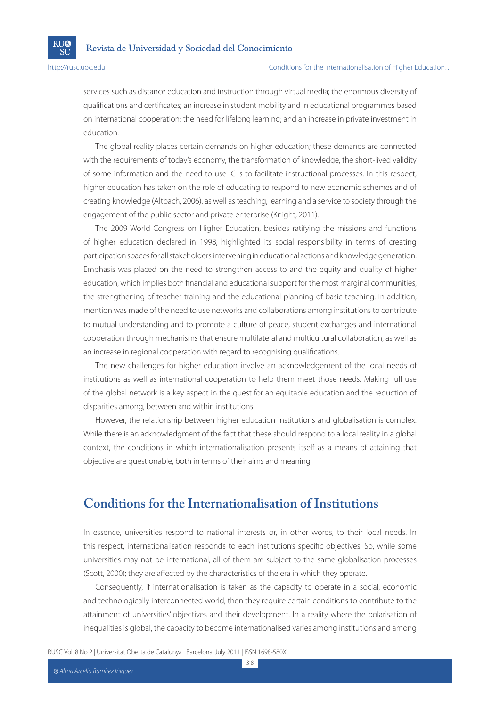**RU®** 

SČ

#### Conditions for the Internationalisation of Higher Education…

services such as distance education and instruction through virtual media; the enormous diversity of qualifications and certificates; an increase in student mobility and in educational programmes based on international cooperation; the need for lifelong learning; and an increase in private investment in education.

The global reality places certain demands on higher education; these demands are connected with the requirements of today's economy, the transformation of knowledge, the short-lived validity of some information and the need to use ICTs to facilitate instructional processes. In this respect, higher education has taken on the role of educating to respond to new economic schemes and of creating knowledge (Altbach, 2006), as well as teaching, learning and a service to society through the engagement of the public sector and private enterprise (Knight, 2011).

The 2009 World Congress on Higher Education, besides ratifying the missions and functions of higher education declared in 1998, highlighted its social responsibility in terms of creating participation spaces for all stakeholders intervening in educational actions and knowledge generation. Emphasis was placed on the need to strengthen access to and the equity and quality of higher education, which implies both financial and educational support for the most marginal communities, the strengthening of teacher training and the educational planning of basic teaching. In addition, mention was made of the need to use networks and collaborations among institutions to contribute to mutual understanding and to promote a culture of peace, student exchanges and international cooperation through mechanisms that ensure multilateral and multicultural collaboration, as well as an increase in regional cooperation with regard to recognising qualifications.

The new challenges for higher education involve an acknowledgement of the local needs of institutions as well as international cooperation to help them meet those needs. Making full use of the global network is a key aspect in the quest for an equitable education and the reduction of disparities among, between and within institutions.

However, the relationship between higher education institutions and globalisation is complex. While there is an acknowledgment of the fact that these should respond to a local reality in a global context, the conditions in which internationalisation presents itself as a means of attaining that objective are questionable, both in terms of their aims and meaning.

## **Conditions for the Internationalisation of Institutions**

In essence, universities respond to national interests or, in other words, to their local needs. In this respect, internationalisation responds to each institution's specific objectives. So, while some universities may not be international, all of them are subject to the same globalisation processes (Scott, 2000); they are affected by the characteristics of the era in which they operate.

Consequently, if internationalisation is taken as the capacity to operate in a social, economic and technologically interconnected world, then they require certain conditions to contribute to the attainment of universities' objectives and their development. In a reality where the polarisation of inequalities is global, the capacity to become internationalised varies among institutions and among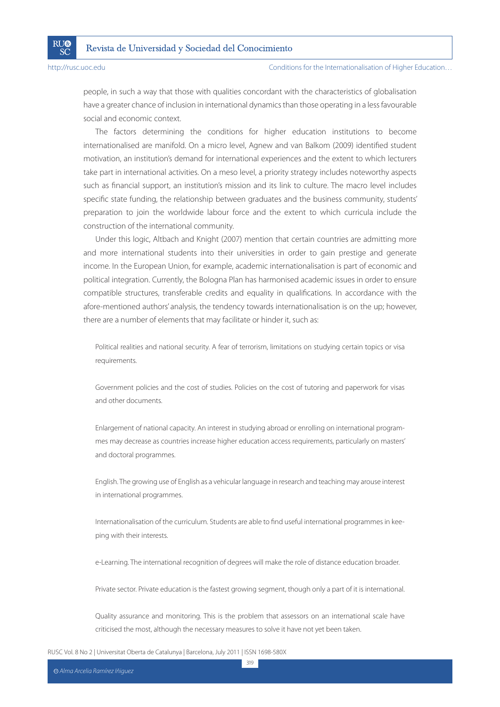**RI**I®

SČ

#### Conditions for the Internationalisation of Higher Education…

people, in such a way that those with qualities concordant with the characteristics of globalisation have a greater chance of inclusion in international dynamics than those operating in a less favourable social and economic context.

The factors determining the conditions for higher education institutions to become internationalised are manifold. On a micro level, Agnew and van Balkom (2009) identified student motivation, an institution's demand for international experiences and the extent to which lecturers take part in international activities. On a meso level, a priority strategy includes noteworthy aspects such as financial support, an institution's mission and its link to culture. The macro level includes specific state funding, the relationship between graduates and the business community, students' preparation to join the worldwide labour force and the extent to which curricula include the construction of the international community.

Under this logic, Altbach and Knight (2007) mention that certain countries are admitting more and more international students into their universities in order to gain prestige and generate income. In the European Union, for example, academic internationalisation is part of economic and political integration. Currently, the Bologna Plan has harmonised academic issues in order to ensure compatible structures, transferable credits and equality in qualifications. In accordance with the afore-mentioned authors' analysis, the tendency towards internationalisation is on the up; however, there are a number of elements that may facilitate or hinder it, such as:

Political realities and national security. A fear of terrorism, limitations on studying certain topics or visa requirements.

Government policies and the cost of studies. Policies on the cost of tutoring and paperwork for visas and other documents.

Enlargement of national capacity. An interest in studying abroad or enrolling on international programmes may decrease as countries increase higher education access requirements, particularly on masters' and doctoral programmes.

English. The growing use of English as a vehicular language in research and teaching may arouse interest in international programmes.

Internationalisation of the curriculum. Students are able to find useful international programmes in keeping with their interests.

e-Learning. The international recognition of degrees will make the role of distance education broader.

Private sector. Private education is the fastest growing segment, though only a part of it is international.

Quality assurance and monitoring. This is the problem that assessors on an international scale have criticised the most, although the necessary measures to solve it have not yet been taken.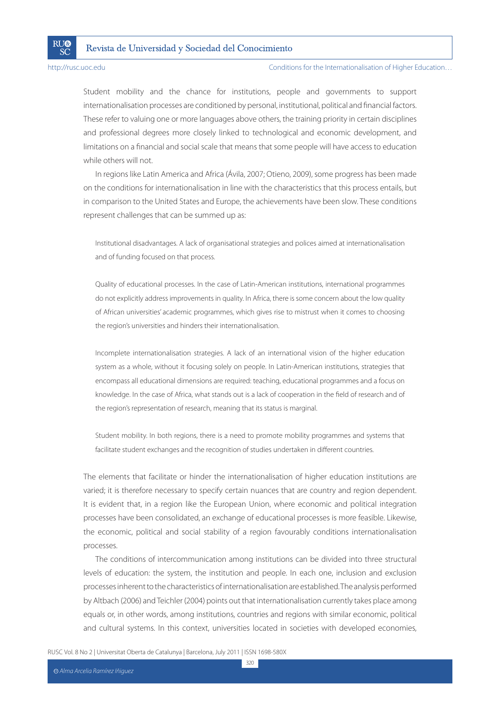

**RI**I®

SČ

Conditions for the Internationalisation of Higher Education…

Student mobility and the chance for institutions, people and governments to support internationalisation processes are conditioned by personal, institutional, political and financial factors. These refer to valuing one or more languages above others, the training priority in certain disciplines and professional degrees more closely linked to technological and economic development, and limitations on a financial and social scale that means that some people will have access to education while others will not.

In regions like Latin America and Africa (Ávila, 2007; Otieno, 2009), some progress has been made on the conditions for internationalisation in line with the characteristics that this process entails, but in comparison to the United States and Europe, the achievements have been slow. These conditions represent challenges that can be summed up as:

Institutional disadvantages. A lack of organisational strategies and polices aimed at internationalisation and of funding focused on that process.

Quality of educational processes. In the case of Latin-American institutions, international programmes do not explicitly address improvements in quality. In Africa, there is some concern about the low quality of African universities' academic programmes, which gives rise to mistrust when it comes to choosing the region's universities and hinders their internationalisation.

Incomplete internationalisation strategies. A lack of an international vision of the higher education system as a whole, without it focusing solely on people. In Latin-American institutions, strategies that encompass all educational dimensions are required: teaching, educational programmes and a focus on knowledge. In the case of Africa, what stands out is a lack of cooperation in the field of research and of the region's representation of research, meaning that its status is marginal.

Student mobility. In both regions, there is a need to promote mobility programmes and systems that facilitate student exchanges and the recognition of studies undertaken in different countries.

The elements that facilitate or hinder the internationalisation of higher education institutions are varied; it is therefore necessary to specify certain nuances that are country and region dependent. It is evident that, in a region like the European Union, where economic and political integration processes have been consolidated, an exchange of educational processes is more feasible. Likewise, the economic, political and social stability of a region favourably conditions internationalisation processes.

The conditions of intercommunication among institutions can be divided into three structural levels of education: the system, the institution and people. In each one, inclusion and exclusion processes inherent to the characteristics of internationalisation are established. The analysis performed by Altbach (2006) and Teichler (2004) points out that internationalisation currently takes place among equals or, in other words, among institutions, countries and regions with similar economic, political and cultural systems. In this context, universities located in societies with developed economies,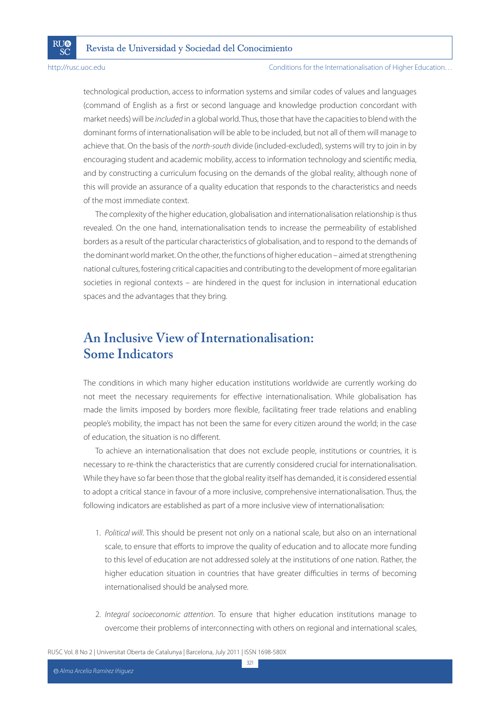**RI**I®

SČ

Conditions for the Internationalisation of Higher Education…

technological production, access to information systems and similar codes of values and languages (command of English as a first or second language and knowledge production concordant with market needs) will be included in a global world. Thus, those that have the capacities to blend with the dominant forms of internationalisation will be able to be included, but not all of them will manage to achieve that. On the basis of the north-south divide (included-excluded), systems will try to join in by encouraging student and academic mobility, access to information technology and scientific media, and by constructing a curriculum focusing on the demands of the global reality, although none of this will provide an assurance of a quality education that responds to the characteristics and needs of the most immediate context.

The complexity of the higher education, globalisation and internationalisation relationship is thus revealed. On the one hand, internationalisation tends to increase the permeability of established borders as a result of the particular characteristics of globalisation, and to respond to the demands of the dominant world market. On the other, the functions of higher education – aimed at strengthening national cultures, fostering critical capacities and contributing to the development of more egalitarian societies in regional contexts – are hindered in the quest for inclusion in international education spaces and the advantages that they bring.

# **An Inclusive View of Internationalisation: Some Indicators**

The conditions in which many higher education institutions worldwide are currently working do not meet the necessary requirements for effective internationalisation. While globalisation has made the limits imposed by borders more flexible, facilitating freer trade relations and enabling people's mobility, the impact has not been the same for every citizen around the world; in the case of education, the situation is no different.

To achieve an internationalisation that does not exclude people, institutions or countries, it is necessary to re-think the characteristics that are currently considered crucial for internationalisation. While they have so far been those that the global reality itself has demanded, it is considered essential to adopt a critical stance in favour of a more inclusive, comprehensive internationalisation. Thus, the following indicators are established as part of a more inclusive view of internationalisation:

- 1. Political will. This should be present not only on a national scale, but also on an international scale, to ensure that efforts to improve the quality of education and to allocate more funding to this level of education are not addressed solely at the institutions of one nation. Rather, the higher education situation in countries that have greater difficulties in terms of becoming internationalised should be analysed more.
- 2. Integral socioeconomic attention. To ensure that higher education institutions manage to overcome their problems of interconnecting with others on regional and international scales,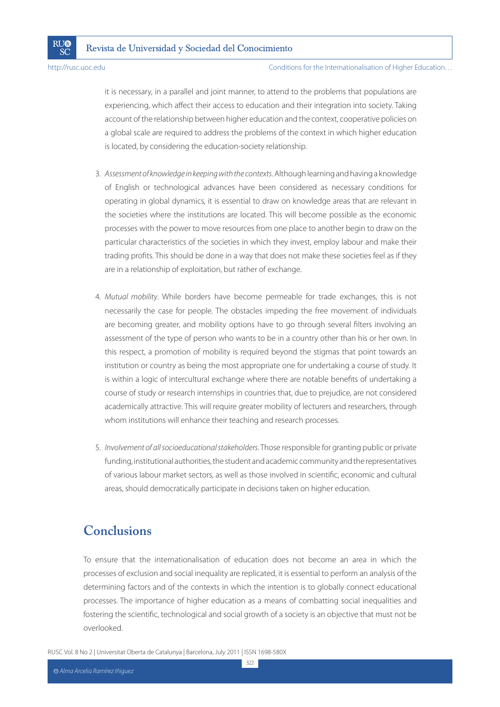**RU®** 

SČ

Conditions for the Internationalisation of Higher Education…

it is necessary, in a parallel and joint manner, to attend to the problems that populations are experiencing, which affect their access to education and their integration into society. Taking account of the relationship between higher education and the context, cooperative policies on a global scale are required to address the problems of the context in which higher education is located, by considering the education-society relationship.

- 3. Assessment of knowledge in keeping with the contexts. Although learning and having a knowledge of English or technological advances have been considered as necessary conditions for operating in global dynamics, it is essential to draw on knowledge areas that are relevant in the societies where the institutions are located. This will become possible as the economic processes with the power to move resources from one place to another begin to draw on the particular characteristics of the societies in which they invest, employ labour and make their trading profits. This should be done in a way that does not make these societies feel as if they are in a relationship of exploitation, but rather of exchange.
- 4. Mutual mobility. While borders have become permeable for trade exchanges, this is not necessarily the case for people. The obstacles impeding the free movement of individuals are becoming greater, and mobility options have to go through several filters involving an assessment of the type of person who wants to be in a country other than his or her own. In this respect, a promotion of mobility is required beyond the stigmas that point towards an institution or country as being the most appropriate one for undertaking a course of study. It is within a logic of intercultural exchange where there are notable benefits of undertaking a course of study or research internships in countries that, due to prejudice, are not considered academically attractive. This will require greater mobility of lecturers and researchers, through whom institutions will enhance their teaching and research processes.
- 5. Involvement of all socioeducational stakeholders. Those responsible for granting public or private funding, institutional authorities, the student and academic community and the representatives of various labour market sectors, as well as those involved in scientific, economic and cultural areas, should democratically participate in decisions taken on higher education.

# **Conclusions**

To ensure that the internationalisation of education does not become an area in which the processes of exclusion and social inequality are replicated, it is essential to perform an analysis of the determining factors and of the contexts in which the intention is to globally connect educational processes. The importance of higher education as a means of combatting social inequalities and fostering the scientific, technological and social growth of a society is an objective that must not be overlooked.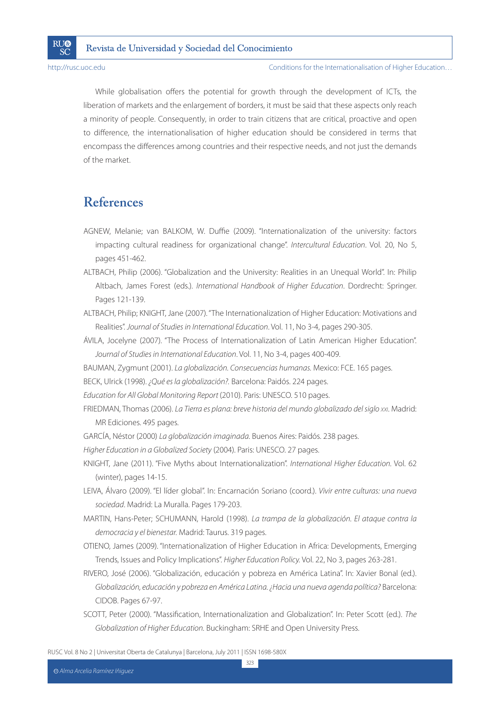**RI**I®

SČ

Conditions for the Internationalisation of Higher Education…

While globalisation offers the potential for growth through the development of ICTs, the liberation of markets and the enlargement of borders, it must be said that these aspects only reach a minority of people. Consequently, in order to train citizens that are critical, proactive and open to difference, the internationalisation of higher education should be considered in terms that encompass the differences among countries and their respective needs, and not just the demands of the market.

# **References**

- AGNEW, Melanie; van BALKOM, W. Duffie (2009). "Internationalization of the university: factors impacting cultural readiness for organizational change". Intercultural Education. Vol. 20, No 5, pages 451-462.
- ALTBACH, Philip (2006). "Globalization and the University: Realities in an Unequal World". In: Philip Altbach, James Forest (eds.). International Handbook of Higher Education. Dordrecht: Springer. Pages 121-139.
- ALTBACH, Philip; KNIGHT, Jane (2007). "The Internationalization of Higher Education: Motivations and Realities". Journal of Studies in International Education. Vol. 11, No 3-4, pages 290-305.
- ÁVILA, Jocelyne (2007). "The Process of Internationalization of Latin American Higher Education". Journal of Studies in International Education. Vol. 11, No 3-4, pages 400-409.
- BAUMAN, Zygmunt (2001). La globalización. Consecuencias humanas. Mexico: FCE. 165 pages.
- BECK, Ulrick (1998). ¿Qué es la globalización?. Barcelona: Paidós. 224 pages.
- Education for All Global Monitoring Report (2010). Paris: UNESCO. 510 pages.
- FRIEDMAN, Thomas (2006). La Tierra es plana: breve historia del mundo globalizado del siglo xxi. Madrid: MR Ediciones. 495 pages.
- GARCÍA, Néstor (2000) La globalización imaginada. Buenos Aires: Paidós. 238 pages.
- Higher Education in a Globalized Society (2004). Paris: UNESCO. 27 pages.
- KNIGHT, Jane (2011). "Five Myths about Internationalization". International Higher Education. Vol. 62 (winter), pages 14-15.
- LEIVA, Álvaro (2009). "El líder global". In: Encarnación Soriano (coord.). Vivir entre culturas: una nueva sociedad. Madrid: La Muralla. Pages 179-203.
- MARTIN, Hans-Peter; SCHUMANN, Harold (1998). La trampa de la globalización. El ataque contra la democracia y el bienestar. Madrid: Taurus. 319 pages.
- OTIENO, James (2009). "Internationalization of Higher Education in Africa: Developments, Emerging Trends, Issues and Policy Implications". Higher Education Policy. Vol. 22, No 3, pages 263-281.
- RIVERO, José (2006). "Globalización, educación y pobreza en América Latina". In: Xavier Bonal (ed.). Globalización, educación y pobreza en América Latina. ¿Hacia una nueva agenda política? Barcelona: CIDOB. Pages 67-97.
- SCOTT, Peter (2000). "Massification, Internationalization and Globalization". In: Peter Scott (ed.). The Globalization of Higher Education. Buckingham: SRHE and Open University Press.

RUSC Vol. 8 No 2 | Universitat Oberta de Catalunya | Barcelona, July 2011 | ISSN 1698-580X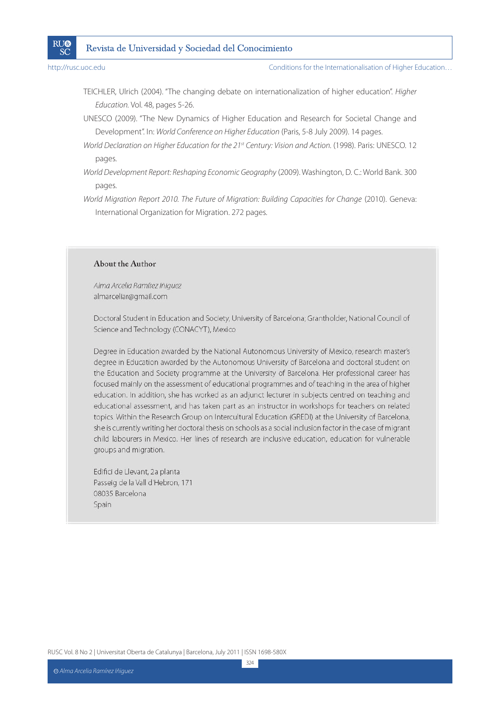

Conditions for the Internationalisation of Higher Education…

- TEICHLER, Ulrich (2004). "The changing debate on internationalization of higher education". Higher Education. Vol. 48, pages 5-26.
- UNESCO (2009). "The New Dynamics of Higher Education and Research for Societal Change and Development". In: World Conference on Higher Education (Paris, 5-8 July 2009). 14 pages.
- World Declaration on Higher Education for the 21st Century: Vision and Action. (1998). Paris: UNESCO. 12 pages.
- World Development Report: Reshaping Economic Geography (2009). Washington, D. C.: World Bank. 300 pages.
- World Migration Report 2010. The Future of Migration: Building Capacities for Change (2010). Geneva: International Organization for Migration. 272 pages.

### About the Author

Alma Arcelia Ramírez Iñiguez almarceliar@gmail.com

Doctoral Student in Education and Society, University of Barcelona; Grantholder, National Council of Science and Technology (CONACYT), Mexico

Degree in Education awarded by the National Autonomous University of Mexico, research master's degree in Education awarded by the Autonomous University of Barcelona and doctoral student on the Education and Society programme at the University of Barcelona. Her professional career has focused mainly on the assessment of educational programmes and of teaching in the area of higher education. In addition, she has worked as an adjunct lecturer in subjects centred on teaching and educational assessment, and has taken part as an instructor in workshops for teachers on related topics. Within the Research Group on Intercultural Education (GREDI) at the University of Barcelona, she is currently writing her doctoral thesis on schools as a social inclusion factor in the case of migrant child labourers in Mexico. Her lines of research are inclusive education, education for vulnerable groups and migration.

Edifici de Llevant, 2a planta Passeig de la Vall d'Hebron, 171 08035 Barcelona Spain